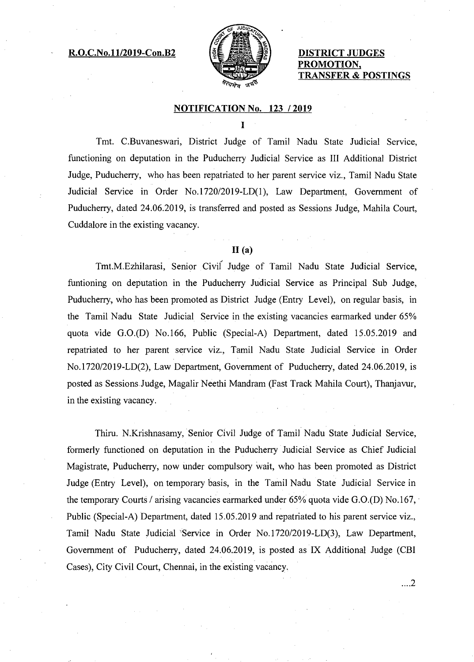## **R.O.C.No.11/2019-Con.B2 DISTRICT JUDGES**



# **ION. TRANSFER & POSTINGS**

#### **NOTIFICATION No. 123 / 2019**

T

Tmt. C.Buvaneswari, District Judge of Tamil Nadu State Judicial Service, functioning on deputation in the Puducherry Judicial Service as III Additional District Judge, Puducherry, who has been repatriated to her parent service viz., Tamil Nadu State Judicial Service in Order No.1720/2019-LD(1), Law Department, Government of Puducherry, dated 24.06.2019, is transferred and posted as Sessions Judge, Mahila Court, Cuddalore in the existing vacancy.

## **11(a)**

Tmt.M.Ezhilarasi, Senior Civil Judge of Tamil Nadu State Judicial Service, funtioning on deputation in the Puducherry Judicial Service as Principal Sub Judge, Puducherry, who has been promoted as District Judge (Entry Level), on regular basis, in the Tamil Nadu State Judicial Service in the existing vacancies earmarked under 65% quota vide G.0.(D) No.166, Public (Special-A) Department, dated 15.05.2019 and repatriated to her parent service viz., Tamil Nadu State Judicial Service in Order No.1720/2019-LD(2), Law Department, Government of Puducherry, dated 24.06.2019, is posted as Sessions Judge, Magalir Neethi Mandram (Fast Track Mahila Court), Thanjavur, in the existing vacancy.

Thiru. N.Krishnasamy, Senior Civil Judge of Tamil Nadu State Judicial Service, formerly functioned on deputation in the Puducherry Judicial Service as Chief Judicial Magistrate, Puducherry, now under compulsory wait, who has been promoted as District Judge (Entry Level), on temporary basis, in the Tamil Nadu State Judicial Service in the temporary Courts / arising vacancies earmarked under 65% quota vide G.0.(D) No.167, Public (Special-A) Department, dated 15.05.2019 and repatriated to his parent service viz., Tamil Nadu State Judicial 'Service in Order No.1720/2019-LD(3), Law Department, Government of Puducherry, dated 24.06.2019, is posted as IX Additional Judge (CBI Cases), City Civil Court, Chennai, in the existing vacancy.

 $\dots$ 2